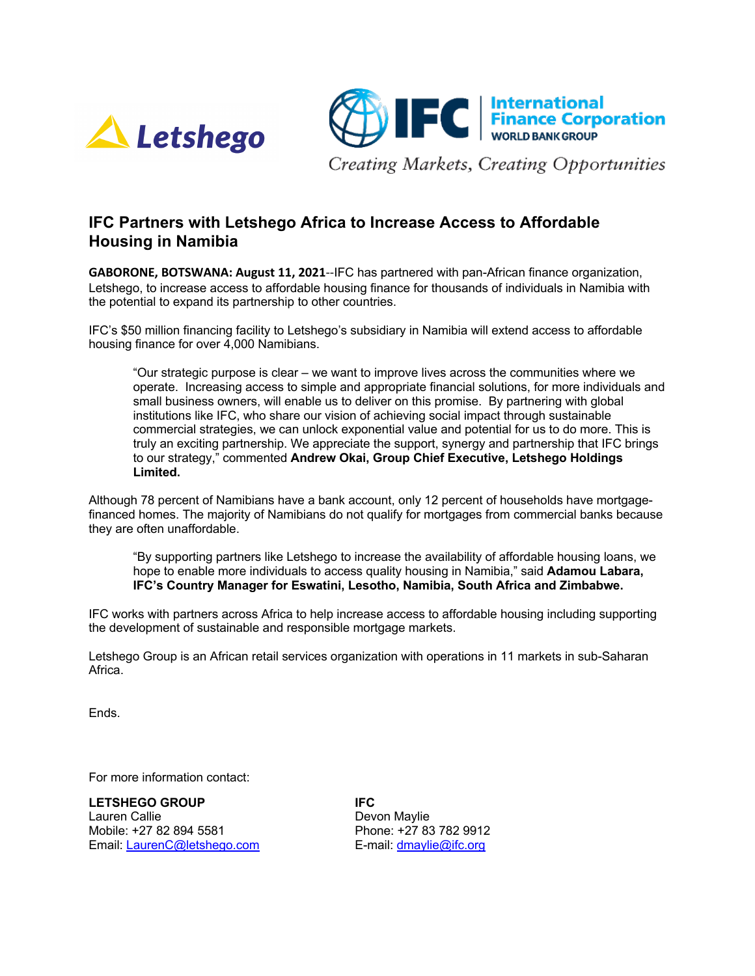



Creating Markets, Creating Opportunities

# **IFC Partners with Letshego Africa to Increase Access to Affordable Housing in Namibia**

**GABORONE, BOTSWANA: August 11, 2021**--IFC has partnered with pan-African finance organization, Letshego, to increase access to affordable housing finance for thousands of individuals in Namibia with the potential to expand its partnership to other countries.

IFC's \$50 million financing facility to Letshego's subsidiary in Namibia will extend access to affordable housing finance for over 4,000 Namibians.

"Our strategic purpose is clear – we want to improve lives across the communities where we operate. Increasing access to simple and appropriate financial solutions, for more individuals and small business owners, will enable us to deliver on this promise. By partnering with global institutions like IFC, who share our vision of achieving social impact through sustainable commercial strategies, we can unlock exponential value and potential for us to do more. This is truly an exciting partnership. We appreciate the support, synergy and partnership that IFC brings to our strategy," commented **Andrew Okai, Group Chief Executive, Letshego Holdings Limited.** 

Although 78 percent of Namibians have a bank account, only 12 percent of households have mortgagefinanced homes. The majority of Namibians do not qualify for mortgages from commercial banks because they are often unaffordable.

"By supporting partners like Letshego to increase the availability of affordable housing loans, we hope to enable more individuals to access quality housing in Namibia," said **Adamou Labara, IFC's Country Manager for Eswatini, Lesotho, Namibia, South Africa and Zimbabwe.**

IFC works with partners across Africa to help increase access to affordable housing including supporting the development of sustainable and responsible mortgage markets.

Letshego Group is an African retail services organization with operations in 11 markets in sub-Saharan Africa.

Ends.

For more information contact:

**LETSHEGO GROUP IFC**  Lauren Callie **Devon Maylie** Mobile: +27 82 894 5581 Phone: +27 83 782 9912 Email: LaurenC@letshego.com E-mail: dmaylie@ifc.org